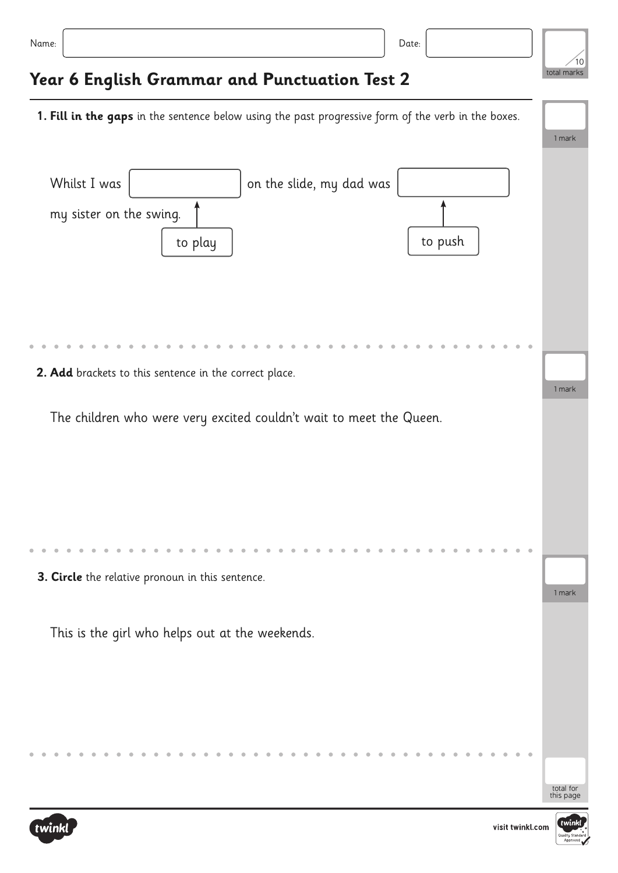| $\sim$<br>× | ×<br>٠ | ۰.<br>× |  |
|-------------|--------|---------|--|

## **Year 6 English Grammar and Punctuation Test 2**

1 mark **1. Fill in the gaps** in the sentence below using the past progressive form of the verb in the boxes. 1 mark 1 mark Whilst I was  $\vert$   $\vert$  on the slide, my dad was The children who were very excited couldn't wait to meet the Queen. This is the girl who helps out at the weekends. to play to push **2. Add** brackets to this sentence in the correct place. my sister on the swing. **3. Circle** the relative pronoun in this sentence.





total for this page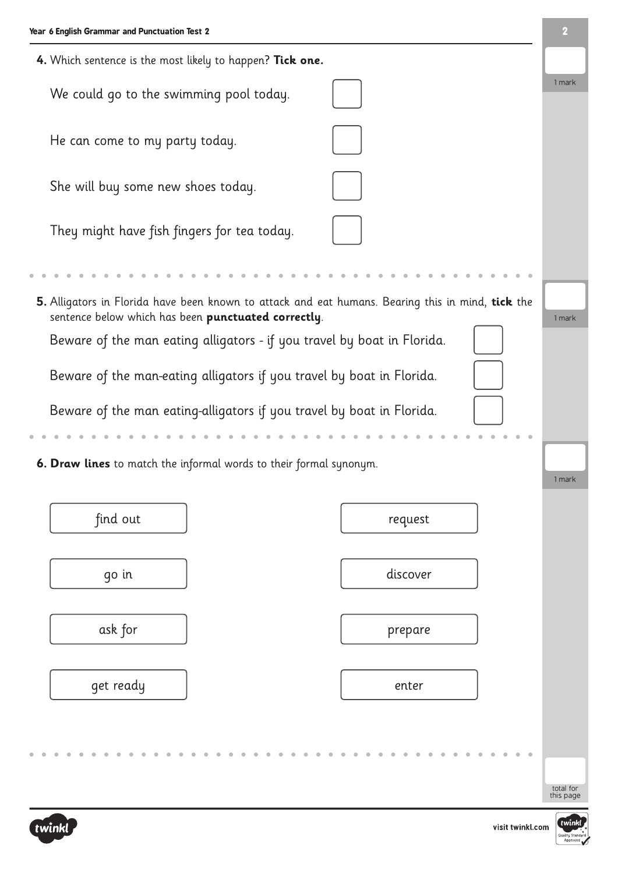| 4. Which sentence is the most likely to happen? Tick one.                                                                                                |                        |
|----------------------------------------------------------------------------------------------------------------------------------------------------------|------------------------|
| We could go to the swimming pool today.                                                                                                                  | 1 mark                 |
| He can come to my party today.                                                                                                                           |                        |
| She will buy some new shoes today.                                                                                                                       |                        |
| They might have fish fingers for tea today.                                                                                                              |                        |
|                                                                                                                                                          |                        |
| 5. Alligators in Florida have been known to attack and eat humans. Bearing this in mind, tick the<br>sentence below which has been punctuated correctly. | 1 mark                 |
| Beware of the man eating alligators - if you travel by boat in Florida.                                                                                  |                        |
| Beware of the man-eating alligators if you travel by boat in Florida.                                                                                    |                        |
| Beware of the man eating-alligators if you travel by boat in Florida.                                                                                    |                        |
|                                                                                                                                                          |                        |
| 6. Draw lines to match the informal words to their formal synonym.                                                                                       | 1 mark                 |
| find out<br>request                                                                                                                                      |                        |
| discover<br>go in                                                                                                                                        |                        |
| ask for<br>prepare                                                                                                                                       |                        |
| get ready<br>enter                                                                                                                                       |                        |
|                                                                                                                                                          |                        |
|                                                                                                                                                          |                        |
|                                                                                                                                                          | total for<br>this page |



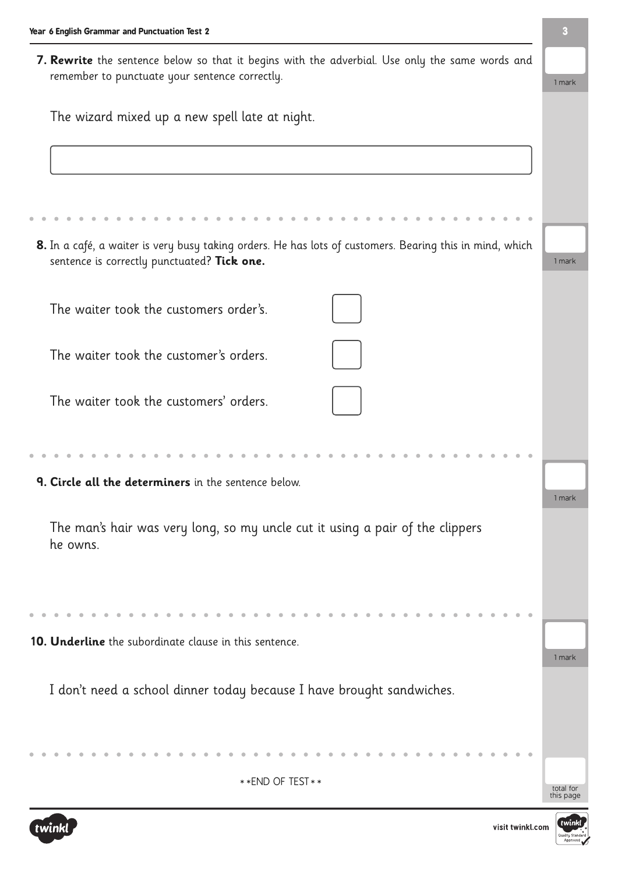**7. Rewrite** the sentence below so that it begins with the adverbial. Use only the same words and remember to punctuate your sentence correctly.

| The wizard mixed up a new spell late at night. |  |  |  |  |
|------------------------------------------------|--|--|--|--|
|                                                |  |  |  |  |

| The wizure maked up a new spearance at mynd.                                                                                                            |                        |
|---------------------------------------------------------------------------------------------------------------------------------------------------------|------------------------|
|                                                                                                                                                         |                        |
|                                                                                                                                                         |                        |
|                                                                                                                                                         |                        |
|                                                                                                                                                         |                        |
| 8. In a café, a waiter is very busy taking orders. He has lots of customers. Bearing this in mind, which<br>sentence is correctly punctuated? Tick one. | 1 mark                 |
| The waiter took the customers order's.                                                                                                                  |                        |
| The waiter took the customer's orders.                                                                                                                  |                        |
| The waiter took the customers' orders.                                                                                                                  |                        |
|                                                                                                                                                         |                        |
| 9. Circle all the determiners in the sentence below.                                                                                                    | 1 mark                 |
| The man's hair was very long, so my uncle cut it using a pair of the clippers<br>he owns.                                                               |                        |
|                                                                                                                                                         |                        |
| 10. Underline the subordinate clause in this sentence.                                                                                                  | 1 mark                 |
| I don't need a school dinner today because I have brought sandwiches.                                                                                   |                        |
|                                                                                                                                                         |                        |
| ** END OF TEST **                                                                                                                                       | total for<br>this page |





1 mark